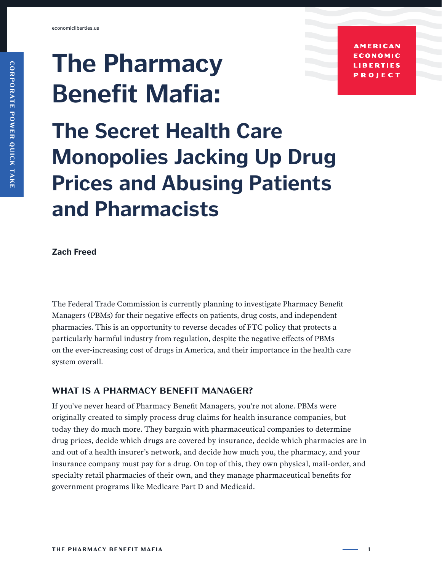# **The Pharmacy Benefit Mafia:**

**AMERICAN ECONOMIC LIBERTIES** PROJECT

## **The Secret Health Care Monopolies Jacking Up Drug Prices and Abusing Patients and Pharmacists**

**Zach Freed**

The Federal Trade Commission is currently planning to investigate Pharmacy Benefit Managers (PBMs) for their negative effects on patients, drug costs, and independent pharmacies. This is an opportunity to reverse decades of FTC policy that protects a particularly harmful industry from regulation, despite the negative effects of PBMs on the ever-increasing cost of drugs in America, and their importance in the health care system overall.

### **WHAT IS A PHARMACY BENEFIT MANAGER?**

If you've never heard of Pharmacy Benefit Managers, you're not alone. PBMs were originally created to simply process drug claims for health insurance companies, but today they do much more. They bargain with pharmaceutical companies to determine drug prices, decide which drugs are covered by insurance, decide which pharmacies are in and out of a health insurer's network, and decide how much you, the pharmacy, and your insurance company must pay for a drug. On top of this, they own physical, mail-order, and specialty retail pharmacies of their own, and they manage pharmaceutical benefits for government programs like Medicare Part D and Medicaid.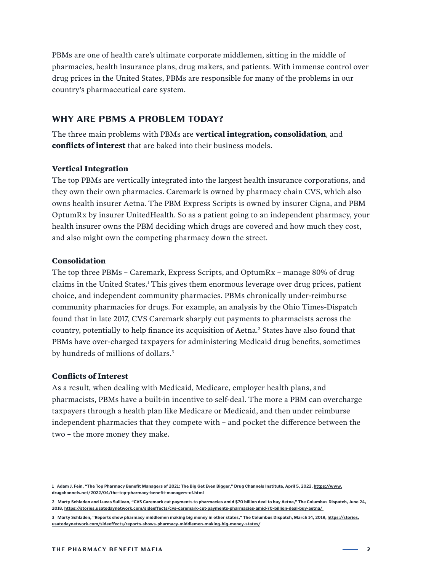PBMs are one of health care's ultimate corporate middlemen, sitting in the middle of pharmacies, health insurance plans, drug makers, and patients. With immense control over drug prices in the United States, PBMs are responsible for many of the problems in our country's pharmaceutical care system.

#### **WHY ARE PBMS A PROBLEM TODAY?**

The three main problems with PBMs are **vertical integration, consolidation***,* and **conflicts of interest** that are baked into their business models.

#### **Vertical Integration**

The top PBMs are vertically integrated into the largest health insurance corporations, and they own their own pharmacies. Caremark is owned by pharmacy chain CVS, which also owns health insurer Aetna. The PBM Express Scripts is owned by insurer Cigna, and PBM OptumRx by insurer UnitedHealth. So as a patient going to an independent pharmacy, your health insurer owns the PBM deciding which drugs are covered and how much they cost, and also might own the competing pharmacy down the street.

#### **Consolidation**

The top three PBMs – Caremark, Express Scripts, and OptumRx – manage 80% of drug claims in the United States.1 This gives them enormous leverage over drug prices, patient choice, and independent community pharmacies. PBMs chronically under-reimburse community pharmacies for drugs. For example, an analysis by the Ohio Times-Dispatch found that in late 2017, CVS Caremark sharply cut payments to pharmacists across the country, potentially to help finance its acquisition of Aetna.<sup>2</sup> States have also found that PBMs have over-charged taxpayers for administering Medicaid drug benefits, sometimes by hundreds of millions of dollars.<sup>3</sup>

#### **Conflicts of Interest**

As a result, when dealing with Medicaid, Medicare, employer health plans, and pharmacists, PBMs have a built-in incentive to self-deal. The more a PBM can overcharge taxpayers through a health plan like Medicare or Medicaid, and then under reimburse independent pharmacies that they compete with – and pocket the difference between the two – the more money they make.

<sup>1</sup> Adam J. Fein, "The Top Pharmacy Benefit Managers of 2021: The Big Get Even Bigger," Drug Channels Institute, April 5, 2022, [https://www.](https://www.drugchannels.net/2022/04/the-top-pharmacy-benefit-managers-of.html  ) **[drugchannels.net/2022/04/the-top-pharmacy-benefit-managers-of.html](https://www.drugchannels.net/2022/04/the-top-pharmacy-benefit-managers-of.html  )** 

**<sup>2</sup> Marty Schladen and Lucas Sullivan, "CVS Caremark cut payments to pharmacies amid \$70 billion deal to buy Aetna," The Columbus Dispatch, June 24, 2018, [https://stories.usatodaynetwork.com/sideeffects/cvs-caremark-cut-payments-pharmacies-amid-70-billion-deal-buy-aetna/](https://stories.usatodaynetwork.com/sideeffects/cvs-caremark-cut-payments-pharmacies-amid-70-billion-deal-buy-aetna/ )** 

**<sup>3</sup> Marty Schladen, "Reports show pharmacy middlemen making big money in other states," The Columbus Dispatch, March 14, 2019, [https://stories.](https://stories.usatodaynetwork.com/sideeffects/reports-shows-pharmacy-middlemen-making-big-money-states/) [usatodaynetwork.com/sideeffects/reports-shows-pharmacy-middlemen-making-big-money-states/](https://stories.usatodaynetwork.com/sideeffects/reports-shows-pharmacy-middlemen-making-big-money-states/)**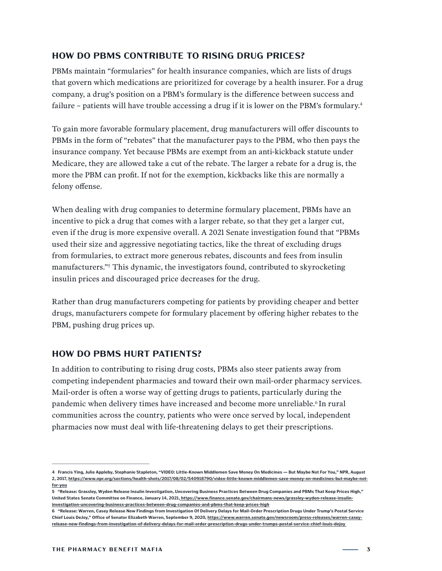#### **HOW DO PBMS CONTRIBUTE TO RISING DRUG PRICES?**

PBMs maintain "formularies" for health insurance companies, which are lists of drugs that govern which medications are prioritized for coverage by a health insurer. For a drug company, a drug's position on a PBM's formulary is the difference between success and failure – patients will have trouble accessing a drug if it is lower on the PBM's formulary.<sup>4</sup>

To gain more favorable formulary placement, drug manufacturers will offer discounts to PBMs in the form of "rebates" that the manufacturer pays to the PBM, who then pays the insurance company. Yet because PBMs are exempt from an anti-kickback statute under Medicare, they are allowed take a cut of the rebate. The larger a rebate for a drug is, the more the PBM can profit. If not for the exemption, kickbacks like this are normally a felony offense.

When dealing with drug companies to determine formulary placement, PBMs have an incentive to pick a drug that comes with a larger rebate, so that they get a larger cut, even if the drug is more expensive overall. A 2021 Senate investigation found that "PBMs used their size and aggressive negotiating tactics, like the threat of excluding drugs from formularies, to extract more generous rebates, discounts and fees from insulin manufacturers."5 This dynamic, the investigators found, contributed to skyrocketing insulin prices and discouraged price decreases for the drug.

Rather than drug manufacturers competing for patients by providing cheaper and better drugs, manufacturers compete for formulary placement by offering higher rebates to the PBM, pushing drug prices up.

#### **HOW DO PBMS HURT PATIENTS?**

In addition to contributing to rising drug costs, PBMs also steer patients away from competing independent pharmacies and toward their own mail-order pharmacy services. Mail-order is often a worse way of getting drugs to patients, particularly during the pandemic when delivery times have increased and become more unreliable.<sup>6</sup> In rural communities across the country, patients who were once served by local, independent pharmacies now must deal with life-threatening delays to get their prescriptions.

**<sup>4</sup> Francis Ying, Julie Appleby, Stephanie Stapleton, "VIDEO: Little-Known Middlemen Save Money On Medicines — But Maybe Not For You," NPR, August 2, 2017, [https://www.npr.org/sections/health-shots/2017/08/02/540918790/video-little-known-middlemen-save-money-on-medicines-but-maybe-not](https://www.npr.org/sections/health-shots/2017/08/02/540918790/video-little-known-middlemen-save-money-on-medicines-but-maybe-not-for-you )[for-you](https://www.npr.org/sections/health-shots/2017/08/02/540918790/video-little-known-middlemen-save-money-on-medicines-but-maybe-not-for-you )**

**<sup>5 &</sup>quot;Release: Grassley, Wyden Release Insulin Investigation, Uncovering Business Practices Between Drug Companies and PBMs That Keep Prices High," United States Senate Committee on Finance, January 14, 2021[, https://www.finance.senate.gov/chairmans-news/grassley-wyden-release-insulin]( https://www.finance.senate.gov/chairmans-news/grassley-wyden-release-insulin-investigation-uncovering-business-practices-between-drug-companies-and-pbms-that-keep-prices-high )[investigation-uncovering-business-practices-between-drug-companies-and-pbms-that-keep-prices-high]( https://www.finance.senate.gov/chairmans-news/grassley-wyden-release-insulin-investigation-uncovering-business-practices-between-drug-companies-and-pbms-that-keep-prices-high )**

**<sup>6 &</sup>quot;Release: Warren, Casey Release New Findings from Investigation Of Delivery Delays for Mail-Order Prescription Drugs Under Trump's Postal Service Chief Louis DeJoy," Office of Senator Elizabeth Warren, September 9, 2020, [https://www.warren.senate.gov/newsroom/press-releases/warren-casey](https://www.warren.senate.gov/newsroom/press-releases/warren-casey-release-new-findings-from-investigation-of-delivery-delays-for-mail-order-prescription-drugs-under-trumps-postal-service-chief-louis-dejoy  )[release-new-findings-from-investigation-of-delivery-delays-for-mail-order-prescription-drugs-under-trumps-postal-service-chief-louis-dejoy](https://www.warren.senate.gov/newsroom/press-releases/warren-casey-release-new-findings-from-investigation-of-delivery-delays-for-mail-order-prescription-drugs-under-trumps-postal-service-chief-louis-dejoy  )**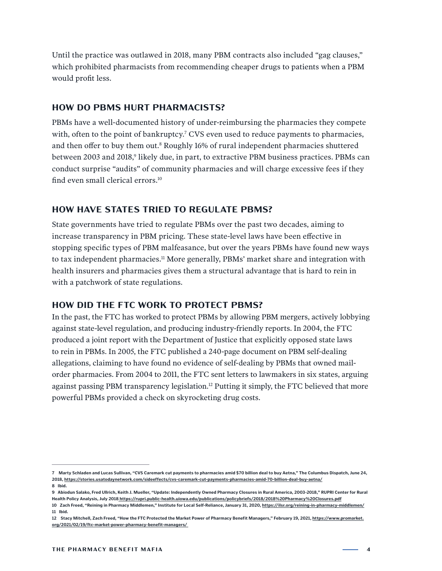Until the practice was outlawed in 2018, many PBM contracts also included "gag clauses," which prohibited pharmacists from recommending cheaper drugs to patients when a PBM would profit less.

#### **HOW DO PBMS HURT PHARMACISTS?**

PBMs have a well-documented history of under-reimbursing the pharmacies they compete with, often to the point of bankruptcy.<sup>7</sup> CVS even used to reduce payments to pharmacies, and then offer to buy them out.<sup>8</sup> Roughly 16% of rural independent pharmacies shuttered between 2003 and 2018,<sup>9</sup> likely due, in part, to extractive PBM business practices. PBMs can conduct surprise "audits" of community pharmacies and will charge excessive fees if they find even small clerical errors.10

#### **HOW HAVE STATES TRIED TO REGULATE PBMS?**

State governments have tried to regulate PBMs over the past two decades, aiming to increase transparency in PBM pricing. These state-level laws have been effective in stopping specific types of PBM malfeasance, but over the years PBMs have found new ways to tax independent pharmacies.<sup>11</sup> More generally, PBMs' market share and integration with health insurers and pharmacies gives them a structural advantage that is hard to rein in with a patchwork of state regulations.

#### **HOW DID THE FTC WORK TO PROTECT PBMS?**

In the past, the FTC has worked to protect PBMs by allowing PBM mergers, actively lobbying against state-level regulation, and producing industry-friendly reports. In 2004, the FTC produced a joint report with the Department of Justice that explicitly opposed state laws to rein in PBMs. In 2005, the FTC published a 240-page document on PBM self-dealing allegations, claiming to have found no evidence of self-dealing by PBMs that owned mailorder pharmacies. From 2004 to 2011, the FTC sent letters to lawmakers in six states, arguing against passing PBM transparency legislation.12 Putting it simply, the FTC believed that more powerful PBMs provided a check on skyrocketing drug costs.

**<sup>7</sup> Marty Schladen and Lucas Sullivan, "CVS Caremark cut payments to pharmacies amid \$70 billion deal to buy Aetna," The Columbus Dispatch, June 24, 2018, [https://stories.usatodaynetwork.com/sideeffects/cvs-caremark-cut-payments-pharmacies-amid-70-billion-deal-buy-aetna/](https://stories.usatodaynetwork.com/sideeffects/cvs-caremark-cut-payments-pharmacies-amid-70-billion-deal-buy-aetna/ ) 8 Ibid.** 

**<sup>9</sup> Abiodun Salako, Fred Ullrich, Keith J. Mueller, "Update: Independently Owned Pharmacy Closures in Rural America, 2003-2018," RUPRI Center for Rural Health Policy Analysis, July 201[8 https://rupri.public-health.uiowa.edu/publications/policybriefs/2018/2018%20Pharmacy%20Closures.pdf]( https://rupri.public-health.uiowa.edu/publications/policybriefs/2018/2018%20Pharmacy%20Closures.pdf )**

**<sup>10</sup> Zach Freed, "Reining in Pharmacy Middlemen," Institute for Local Self-Reliance, January 31, 2020, [https://ilsr.org/reining-in-pharmacy-middlemen/](https://ilsr.org/reining-in-pharmacy-middlemen/ ) 11 Ibid.**

**<sup>12</sup> Stacy Mitchell, Zach Freed, "How the FTC Protected the Market Power of Pharmacy Benefit Managers," February 19, 2021, [https://www.promarket.](https://www.promarket.org/2021/02/19/ftc-market-power-pharmacy-benefit-managers/  ) [org/2021/02/19/ftc-market-power-pharmacy-benefit-managers/](https://www.promarket.org/2021/02/19/ftc-market-power-pharmacy-benefit-managers/  )**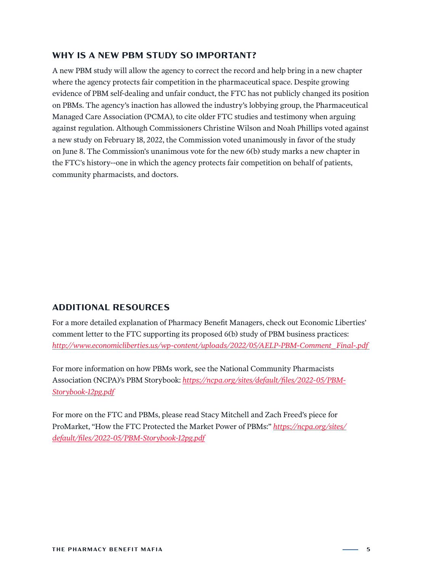#### **WHY IS A NEW PBM STUDY SO IMPORTANT?**

A new PBM study will allow the agency to correct the record and help bring in a new chapter where the agency protects fair competition in the pharmaceutical space. Despite growing evidence of PBM self-dealing and unfair conduct, the FTC has not publicly changed its position on PBMs. The agency's inaction has allowed the industry's lobbying group, the Pharmaceutical Managed Care Association (PCMA), to cite older FTC studies and testimony when arguing against regulation. Although Commissioners Christine Wilson and Noah Phillips voted against a new study on February 18, 2022, the Commission voted unanimously in favor of the study on June 8. The Commission's unanimous vote for the new 6(b) study marks a new chapter in the FTC's history--one in which the agency protects fair competition on behalf of patients, community pharmacists, and doctors.

#### **ADDITIONAL RESOURCES**

For a more detailed explanation of Pharmacy Benefit Managers, check out Economic Liberties' comment letter to the FTC supporting its proposed 6(b) study of PBM business practices: *[http://www.economicliberties.us/wp-content/uploads/2022/05/AELP-PBM-Comment\\_Final-.pdf](http://www.economicliberties.us/wp-content/uploads/2022/05/AELP-PBM-Comment_Final-.pdf )* 

For more information on how PBMs work, see the National Community Pharmacists Association (NCPA)'s PBM Storybook: *[https://ncpa.org/sites/default/files/2022-05/PBM-](https://ncpa.org/sites/default/files/2022-05/PBM-Storybook-12pg.pdf )[Storybook-12pg.pdf](https://ncpa.org/sites/default/files/2022-05/PBM-Storybook-12pg.pdf )*

For more on the FTC and PBMs, please read Stacy Mitchell and Zach Freed's piece for ProMarket, "How the FTC Protected the Market Power of PBMs:" *[https://ncpa.org/sites/](https://ncpa.org/sites/default/files/2022-05/PBM-Storybook-12pg.pdf ) [default/files/2022-05/PBM-Storybook-12pg.pdf](https://ncpa.org/sites/default/files/2022-05/PBM-Storybook-12pg.pdf )*